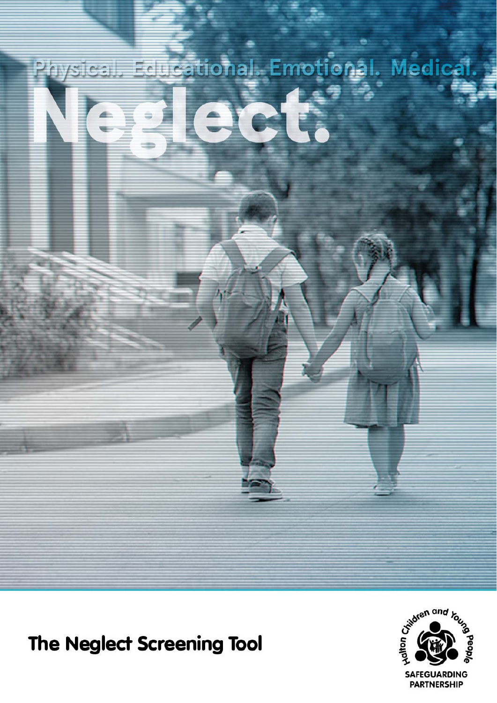# Educational. Emotional. Medical.

**The Neglect Screening Tool** 

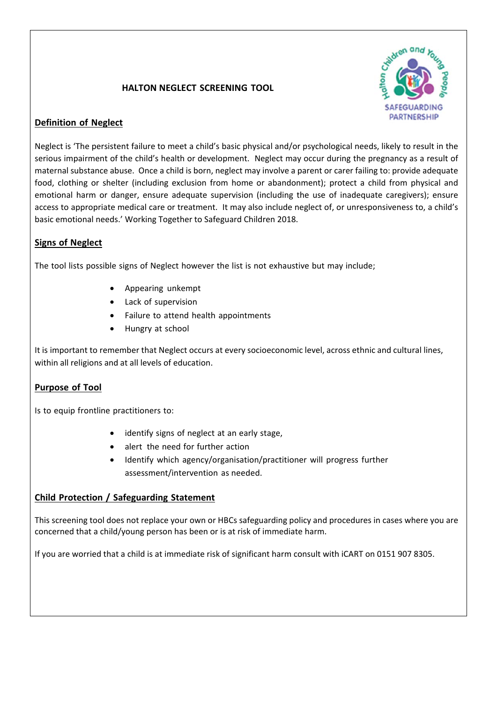# **HALTON NEGLECT SCREENING TOOL**



# **Definition of Neglect**

Neglect is 'The persistent failure to meet a child's basic physical and/or psychological needs, likely to result in the serious impairment of the child's health or development. Neglect may occur during the pregnancy as a result of maternal substance abuse. Once a child is born, neglect may involve a parent or carer failing to: provide adequate food, clothing or shelter (including exclusion from home or abandonment); protect a child from physical and emotional harm or danger, ensure adequate supervision (including the use of inadequate caregivers); ensure access to appropriate medical care or treatment. It may also include neglect of, or unresponsiveness to, a child's basic emotional needs.' Working Together to Safeguard Children 2018.

## **Signs of Neglect**

The tool lists possible signs of Neglect however the list is not exhaustive but may include;

- Appearing unkempt
- Lack of supervision
- Failure to attend health appointments
- Hungry at school

It is important to remember that Neglect occurs at every socioeconomic level, across ethnic and cultural lines, within all religions and at all levels of education.

### **Purpose of Tool**

Is to equip frontline practitioners to:

- identify signs of neglect at an early stage,
- alert the need for further action
- Identify which agency/organisation/practitioner will progress further assessment/intervention as needed.

### **Child Protection / Safeguarding Statement**

This screening tool does not replace your own or HBCs safeguarding policy and procedures in cases where you are concerned that a child/young person has been or is at risk of immediate harm.

If you are worried that a child is at immediate risk of significant harm consult with iCART on 0151 907 8305.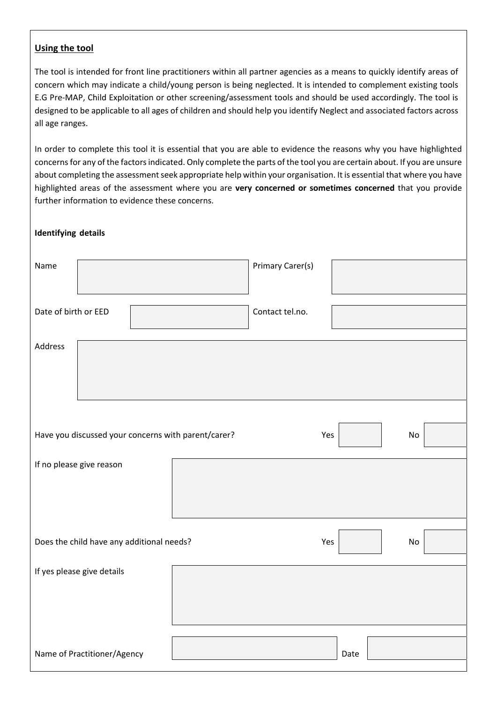# **Using the tool**

The tool is intended for front line practitioners within all partner agencies as a means to quickly identify areas of concern which may indicate a child/young person is being neglected. It is intended to complement existing tools E.G Pre‐MAP, Child Exploitation or other screening/assessment tools and should be used accordingly. The tool is designed to be applicable to all ages of children and should help you identify Neglect and associated factors across all age ranges.

In order to complete this tool it is essential that you are able to evidence the reasons why you have highlighted concerns for any of the factors indicated. Only complete the parts of the tool you are certain about. If you are unsure about completing the assessment seek appropriate help within your organisation. It is essential that where you have highlighted areas of the assessment where you are **very concerned or sometimes concerned** that you provide further information to evidence these concerns.

#### **Identifying details**

| Name                                                |                             |  |  | Primary Carer(s) |      |    |
|-----------------------------------------------------|-----------------------------|--|--|------------------|------|----|
| Date of birth or EED                                |                             |  |  | Contact tel.no.  |      |    |
| Address                                             |                             |  |  |                  |      |    |
|                                                     |                             |  |  |                  |      |    |
| Have you discussed your concerns with parent/carer? |                             |  |  |                  | Yes  | No |
|                                                     | If no please give reason    |  |  |                  |      |    |
| Does the child have any additional needs?           |                             |  |  | Yes              | No   |    |
|                                                     | If yes please give details  |  |  |                  |      |    |
|                                                     |                             |  |  |                  |      |    |
|                                                     | Name of Practitioner/Agency |  |  |                  | Date |    |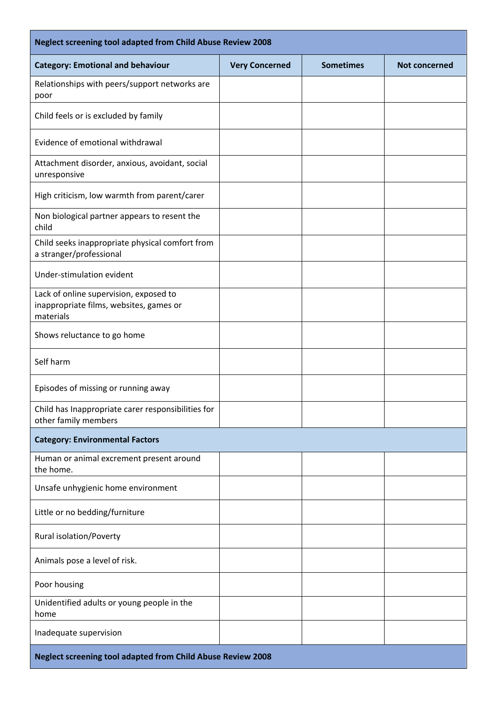| <b>Neglect screening tool adapted from Child Abuse Review 2008</b>                             |                       |                  |                      |  |
|------------------------------------------------------------------------------------------------|-----------------------|------------------|----------------------|--|
| <b>Category: Emotional and behaviour</b>                                                       | <b>Very Concerned</b> | <b>Sometimes</b> | <b>Not concerned</b> |  |
| Relationships with peers/support networks are<br>poor                                          |                       |                  |                      |  |
| Child feels or is excluded by family                                                           |                       |                  |                      |  |
| Evidence of emotional withdrawal                                                               |                       |                  |                      |  |
| Attachment disorder, anxious, avoidant, social<br>unresponsive                                 |                       |                  |                      |  |
| High criticism, low warmth from parent/carer                                                   |                       |                  |                      |  |
| Non biological partner appears to resent the<br>child                                          |                       |                  |                      |  |
| Child seeks inappropriate physical comfort from<br>a stranger/professional                     |                       |                  |                      |  |
| Under-stimulation evident                                                                      |                       |                  |                      |  |
| Lack of online supervision, exposed to<br>inappropriate films, websites, games or<br>materials |                       |                  |                      |  |
| Shows reluctance to go home                                                                    |                       |                  |                      |  |
| Self harm                                                                                      |                       |                  |                      |  |
| Episodes of missing or running away                                                            |                       |                  |                      |  |
| Child has Inappropriate carer responsibilities for<br>other family members                     |                       |                  |                      |  |
| <b>Category: Environmental Factors</b>                                                         |                       |                  |                      |  |
| Human or animal excrement present around<br>the home.                                          |                       |                  |                      |  |
| Unsafe unhygienic home environment                                                             |                       |                  |                      |  |
| Little or no bedding/furniture                                                                 |                       |                  |                      |  |
| Rural isolation/Poverty                                                                        |                       |                  |                      |  |
| Animals pose a level of risk.                                                                  |                       |                  |                      |  |
| Poor housing                                                                                   |                       |                  |                      |  |
| Unidentified adults or young people in the<br>home                                             |                       |                  |                      |  |
| Inadequate supervision                                                                         |                       |                  |                      |  |
| <b>Neglect screening tool adapted from Child Abuse Review 2008</b>                             |                       |                  |                      |  |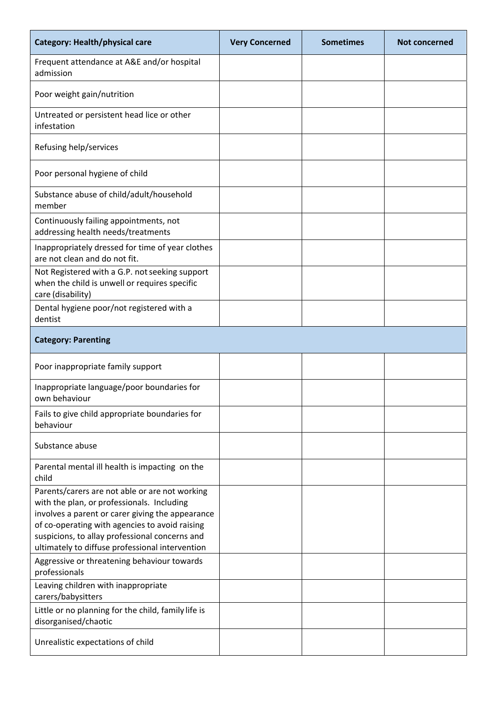| Category: Health/physical care                                                                                                                                                                                                                                                                          | <b>Very Concerned</b> | <b>Sometimes</b> | <b>Not concerned</b> |
|---------------------------------------------------------------------------------------------------------------------------------------------------------------------------------------------------------------------------------------------------------------------------------------------------------|-----------------------|------------------|----------------------|
| Frequent attendance at A&E and/or hospital<br>admission                                                                                                                                                                                                                                                 |                       |                  |                      |
| Poor weight gain/nutrition                                                                                                                                                                                                                                                                              |                       |                  |                      |
| Untreated or persistent head lice or other<br>infestation                                                                                                                                                                                                                                               |                       |                  |                      |
| Refusing help/services                                                                                                                                                                                                                                                                                  |                       |                  |                      |
| Poor personal hygiene of child                                                                                                                                                                                                                                                                          |                       |                  |                      |
| Substance abuse of child/adult/household<br>member                                                                                                                                                                                                                                                      |                       |                  |                      |
| Continuously failing appointments, not<br>addressing health needs/treatments                                                                                                                                                                                                                            |                       |                  |                      |
| Inappropriately dressed for time of year clothes<br>are not clean and do not fit.                                                                                                                                                                                                                       |                       |                  |                      |
| Not Registered with a G.P. not seeking support<br>when the child is unwell or requires specific<br>care (disability)                                                                                                                                                                                    |                       |                  |                      |
| Dental hygiene poor/not registered with a<br>dentist                                                                                                                                                                                                                                                    |                       |                  |                      |
| <b>Category: Parenting</b>                                                                                                                                                                                                                                                                              |                       |                  |                      |
| Poor inappropriate family support                                                                                                                                                                                                                                                                       |                       |                  |                      |
| Inappropriate language/poor boundaries for<br>own behaviour                                                                                                                                                                                                                                             |                       |                  |                      |
| Fails to give child appropriate boundaries for<br>behaviour                                                                                                                                                                                                                                             |                       |                  |                      |
| Substance abuse                                                                                                                                                                                                                                                                                         |                       |                  |                      |
| Parental mental ill health is impacting on the<br>child                                                                                                                                                                                                                                                 |                       |                  |                      |
| Parents/carers are not able or are not working<br>with the plan, or professionals. Including<br>involves a parent or carer giving the appearance<br>of co-operating with agencies to avoid raising<br>suspicions, to allay professional concerns and<br>ultimately to diffuse professional intervention |                       |                  |                      |
| Aggressive or threatening behaviour towards<br>professionals                                                                                                                                                                                                                                            |                       |                  |                      |
| Leaving children with inappropriate<br>carers/babysitters                                                                                                                                                                                                                                               |                       |                  |                      |
| Little or no planning for the child, family life is<br>disorganised/chaotic                                                                                                                                                                                                                             |                       |                  |                      |
| Unrealistic expectations of child                                                                                                                                                                                                                                                                       |                       |                  |                      |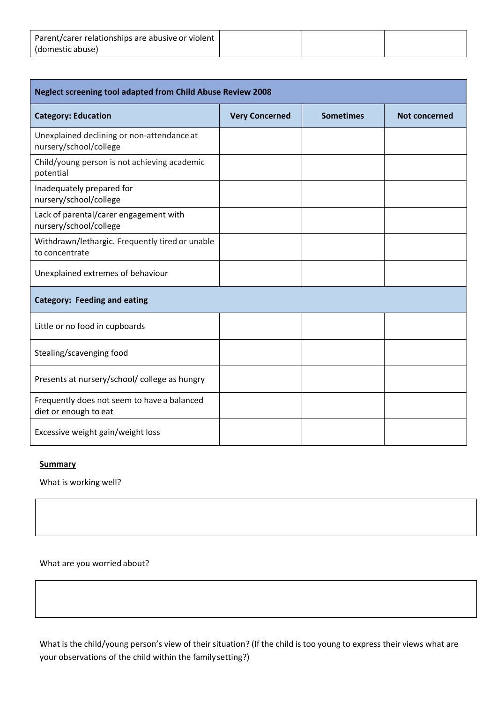| Parent/carer relationships are abusive or violent |  |  |
|---------------------------------------------------|--|--|
| (domestic abuse)                                  |  |  |

| <b>Neglect screening tool adapted from Child Abuse Review 2008</b>   |                       |                  |                      |  |  |
|----------------------------------------------------------------------|-----------------------|------------------|----------------------|--|--|
| <b>Category: Education</b>                                           | <b>Very Concerned</b> | <b>Sometimes</b> | <b>Not concerned</b> |  |  |
| Unexplained declining or non-attendance at<br>nursery/school/college |                       |                  |                      |  |  |
| Child/young person is not achieving academic<br>potential            |                       |                  |                      |  |  |
| Inadequately prepared for<br>nursery/school/college                  |                       |                  |                      |  |  |
| Lack of parental/carer engagement with<br>nursery/school/college     |                       |                  |                      |  |  |
| Withdrawn/lethargic. Frequently tired or unable<br>to concentrate    |                       |                  |                      |  |  |
| Unexplained extremes of behaviour                                    |                       |                  |                      |  |  |
| <b>Category: Feeding and eating</b>                                  |                       |                  |                      |  |  |
| Little or no food in cupboards                                       |                       |                  |                      |  |  |
| Stealing/scavenging food                                             |                       |                  |                      |  |  |
| Presents at nursery/school/ college as hungry                        |                       |                  |                      |  |  |
| Frequently does not seem to have a balanced<br>diet or enough to eat |                       |                  |                      |  |  |
| Excessive weight gain/weight loss                                    |                       |                  |                      |  |  |

#### **Summary**

What is working well?

#### What are you worried about?

What is the child/young person's view of their situation? (If the child is too young to express their views what are your observations of the child within the familysetting?)